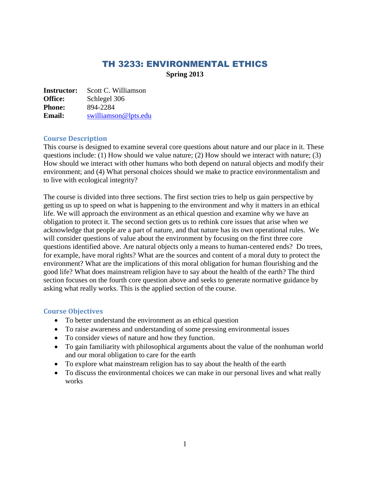# TH 3233: ENVIRONMENTAL ETHICS **Spring 2013**

**Instructor:** Scott C. Williamson **Office:** Schlegel 306 **Phone:** 894-2284 **Email:** [swilliamson@lpts.edu](mailto:swilliamson@lpts.edu)

#### **Course Description**

This course is designed to examine several core questions about nature and our place in it. These questions include: (1) How should we value nature; (2) How should we interact with nature; (3) How should we interact with other humans who both depend on natural objects and modify their environment; and (4) What personal choices should we make to practice environmentalism and to live with ecological integrity?

The course is divided into three sections. The first section tries to help us gain perspective by getting us up to speed on what is happening to the environment and why it matters in an ethical life. We will approach the environment as an ethical question and examine why we have an obligation to protect it. The second section gets us to rethink core issues that arise when we acknowledge that people are a part of nature, and that nature has its own operational rules. We will consider questions of value about the environment by focusing on the first three core questions identified above. Are natural objects only a means to human-centered ends? Do trees, for example, have moral rights? What are the sources and content of a moral duty to protect the environment? What are the implications of this moral obligation for human flourishing and the good life? What does mainstream religion have to say about the health of the earth? The third section focuses on the fourth core question above and seeks to generate normative guidance by asking what really works. This is the applied section of the course.

#### **Course Objectives**

- To better understand the environment as an ethical question
- To raise awareness and understanding of some pressing environmental issues
- To consider views of nature and how they function.
- To gain familiarity with philosophical arguments about the value of the nonhuman world and our moral obligation to care for the earth
- To explore what mainstream religion has to say about the health of the earth
- To discuss the environmental choices we can make in our personal lives and what really works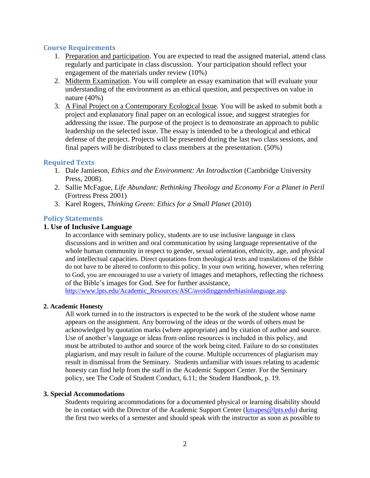#### **Course Requirements**

- 1. Preparation and participation. You are expected to read the assigned material, attend class regularly and participate in class discussion. Your participation should reflect your engagement of the materials under review (10%)
- 2. Midterm Examination. You will complete an essay examination that will evaluate your understanding of the environment as an ethical question, and perspectives on value in nature (40%)
- 3. A Final Project on a Contemporary Ecological Issue. You will be asked to submit both a project and explanatory final paper on an ecological issue, and suggest strategies for addressing the issue. The purpose of the project is to demonstrate an approach to public leadership on the selected issue. The essay is intended to be a theological and ethical defense of the project. Projects will be presented during the last two class sessions, and final papers will be distributed to class members at the presentation. (50%)

### **Required Texts**

- 1. Dale Jamieson, *Ethics and the Environment: An Introduction* (Cambridge University Press, 2008).
- 2. Sallie McFague, *Life Abundant: Rethinking Theology and Economy For a Planet in Peril*  (Fortress Press 2001)
- 3. Karel Rogers, *Thinking Green: Ethics for a Small Planet* (2010)

## **Policy Statements**

#### **1. Use of Inclusive Language**

In accordance with seminary policy, students are to use inclusive language in class discussions and in written and oral communication by using language representative of the whole human community in respect to gender, sexual orientation, ethnicity, age, and physical and intellectual capacities. Direct quotations from theological texts and translations of the Bible do not have to be altered to conform to this policy. In your own writing, however, when referring to God, you are encouraged to use a variety of images and metaphors, reflecting the richness of the Bible's images for God. See for further assistance,

[http://www.lpts.edu/Academic\\_Resources/ASC/avoidinggenderbiasinlanguage.asp.](http://www.lpts.edu/Academic_Resources/ASC/avoidinggenderbiasinlanguage.asp)

#### **2. Academic Honesty**

All work turned in to the instructors is expected to be the work of the student whose name appears on the assignment. Any borrowing of the ideas or the words of others must be acknowledged by quotation marks (where appropriate) and by citation of author and source. Use of another's language or ideas from online resources is included in this policy, and must be attributed to author and source of the work being cited. Failure to do so constitutes plagiarism, and may result in failure of the course. Multiple occurrences of plagiarism may result in dismissal from the Seminary. Students unfamiliar with issues relating to academic honesty can find help from the staff in the Academic Support Center. For the Seminary policy, see The Code of Student Conduct, 6.11; the Student Handbook, p. 19.

#### **3. Special Accommodations**

Students requiring accommodations for a documented physical or learning disability should be in contact with the Director of the Academic Support Center [\(kmapes@lpts.edu\)](mailto:kmapes@lpts.edu) during the first two weeks of a semester and should speak with the instructor as soon as possible to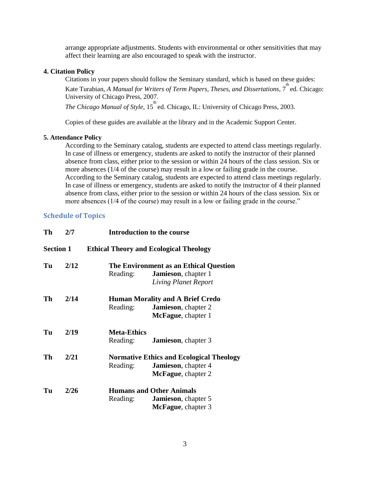arrange appropriate adjustments. Students with environmental or other sensitivities that may affect their learning are also encouraged to speak with the instructor.

#### **4. Citation Policy**

Citations in your papers should follow the Seminary standard, which is based on these guides: Kate Turabian, *A Manual for Writers of Term Papers, Theses, and Dissertations,* 7<sup>th</sup> ed. Chicago: University of Chicago Press, 2007. *The Chicago Manual of Style*, 15<sup>th</sup> ed. Chicago, IL: University of Chicago Press, 2003.

Copies of these guides are available at the library and in the Academic Support Center.

#### **5. Attendance Policy**

According to the Seminary catalog, students are expected to attend class meetings regularly. In case of illness or emergency, students are asked to notify the instructor of their planned absence from class, either prior to the session or within 24 hours of the class session. Six or more absences (1/4 of the course) may result in a low or failing grade in the course. According to the Seminary catalog, students are expected to attend class meetings regularly. In case of illness or emergency, students are asked to notify the instructor of 4 their planned absence from class, either prior to the session or within 24 hours of the class session. Six or more absences (1/4 of the course) may result in a low or failing grade in the course."

## **Schedule of Topics**

| Th               | 2/7  | <b>Introduction to the course</b>                                                                                        |
|------------------|------|--------------------------------------------------------------------------------------------------------------------------|
| <b>Section 1</b> |      | <b>Ethical Theory and Ecological Theology</b>                                                                            |
| Tu               | 2/12 | The Environment as an Ethical Question<br>Reading:<br><b>Jamieson</b> , chapter 1<br><b>Living Planet Report</b>         |
| Th               | 2/14 | <b>Human Morality and A Brief Credo</b><br>Reading:<br><b>Jamieson</b> , chapter 2<br><b>McFague</b> , chapter 1         |
| Tu               | 2/19 | <b>Meta-Ethics</b><br>Reading:<br><b>Jamieson</b> , chapter 3                                                            |
| Th               | 2/21 | <b>Normative Ethics and Ecological Theology</b><br>Reading:<br><b>Jamieson</b> , chapter 4<br><b>McFague</b> , chapter 2 |
| Tu               | 2/26 | <b>Humans and Other Animals</b><br>Reading:<br><b>Jamieson</b> , chapter 5<br><b>McFague</b> , chapter 3                 |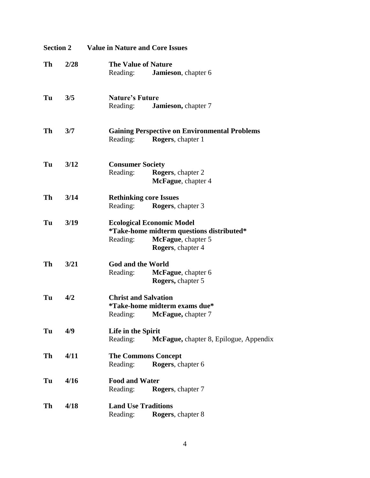| <b>Section 2</b> |      | <b>Value in Nature and Core Issues</b>                                                                                               |  |  |
|------------------|------|--------------------------------------------------------------------------------------------------------------------------------------|--|--|
| Th               | 2/28 | <b>The Value of Nature</b><br>Reading:<br>Jamieson, chapter 6                                                                        |  |  |
| Tu               | 3/5  | <b>Nature's Future</b><br>Jamieson, chapter 7<br>Reading:                                                                            |  |  |
| Th               | 3/7  | <b>Gaining Perspective on Environmental Problems</b><br>Reading:<br><b>Rogers</b> , chapter 1                                        |  |  |
| Tu               | 3/12 | <b>Consumer Society</b><br>Reading:<br><b>Rogers</b> , chapter 2<br>McFague, chapter 4                                               |  |  |
| Th               | 3/14 | <b>Rethinking core Issues</b><br><b>Rogers</b> , chapter 3<br>Reading:                                                               |  |  |
| Tu               | 3/19 | <b>Ecological Economic Model</b><br>*Take-home midterm questions distributed*<br>McFague, chapter 5<br>Reading:<br>Rogers, chapter 4 |  |  |
| Th               | 3/21 | <b>God and the World</b><br>Reading:<br>McFague, chapter 6<br>Rogers, chapter 5                                                      |  |  |
| Tu               | 4/2  | <b>Christ and Salvation</b><br><i>*Take-home midterm exams due*</i><br>Reading: McFague, chapter 7                                   |  |  |
| Tu               | 4/9  | Life in the Spirit<br>McFague, chapter 8, Epilogue, Appendix<br>Reading:                                                             |  |  |
| Th               | 4/11 | <b>The Commons Concept</b><br>Rogers, chapter 6<br>Reading:                                                                          |  |  |
| Tu               | 4/16 | <b>Food and Water</b><br>Reading:<br>Rogers, chapter 7                                                                               |  |  |
| Th               | 4/18 | <b>Land Use Traditions</b><br>Reading: Rogers, chapter 8                                                                             |  |  |